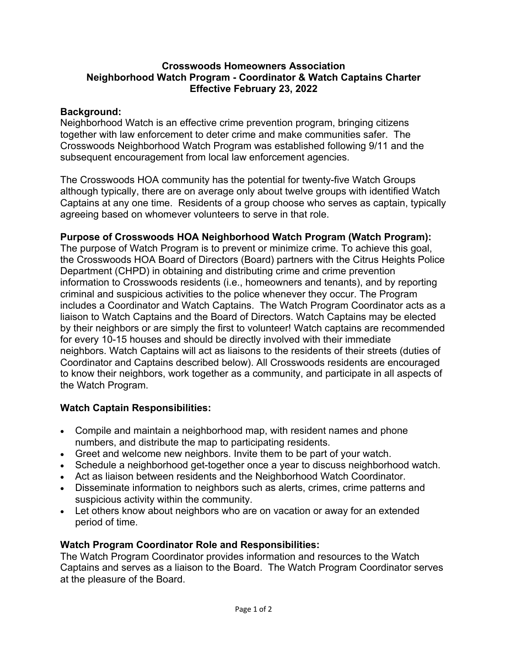#### **Crosswoods Homeowners Association Neighborhood Watch Program - Coordinator & Watch Captains Charter Effective February 23, 2022**

#### **Background:**

Neighborhood Watch is an effective crime prevention program, bringing citizens together with law enforcement to deter crime and make communities safer. The Crosswoods Neighborhood Watch Program was established following 9/11 and the subsequent encouragement from local law enforcement agencies.

The Crosswoods HOA community has the potential for twenty-five Watch Groups although typically, there are on average only about twelve groups with identified Watch Captains at any one time. Residents of a group choose who serves as captain, typically agreeing based on whomever volunteers to serve in that role.

#### **Purpose of Crosswoods HOA Neighborhood Watch Program (Watch Program):**

The purpose of Watch Program is to prevent or minimize crime. To achieve this goal, the Crosswoods HOA Board of Directors (Board) partners with the Citrus Heights Police Department (CHPD) in obtaining and distributing crime and crime prevention information to Crosswoods residents (i.e., homeowners and tenants), and by reporting criminal and suspicious activities to the police whenever they occur. The Program includes a Coordinator and Watch Captains. The Watch Program Coordinator acts as a liaison to Watch Captains and the Board of Directors. Watch Captains may be elected by their neighbors or are simply the first to volunteer! Watch captains are recommended for every 10-15 houses and should be directly involved with their immediate neighbors. Watch Captains will act as liaisons to the residents of their streets (duties of Coordinator and Captains described below). All Crosswoods residents are encouraged to know their neighbors, work together as a community, and participate in all aspects of the Watch Program.

# **Watch Captain Responsibilities:**

- Compile and maintain a neighborhood map, with resident names and phone numbers, and distribute the map to participating residents.
- Greet and welcome new neighbors. Invite them to be part of your watch.
- Schedule a neighborhood get-together once a year to discuss neighborhood watch.
- Act as liaison between residents and the Neighborhood Watch Coordinator.
- Disseminate information to neighbors such as alerts, crimes, crime patterns and suspicious activity within the community.
- Let others know about neighbors who are on vacation or away for an extended period of time.

# **Watch Program Coordinator Role and Responsibilities:**

The Watch Program Coordinator provides information and resources to the Watch Captains and serves as a liaison to the Board. The Watch Program Coordinator serves at the pleasure of the Board.